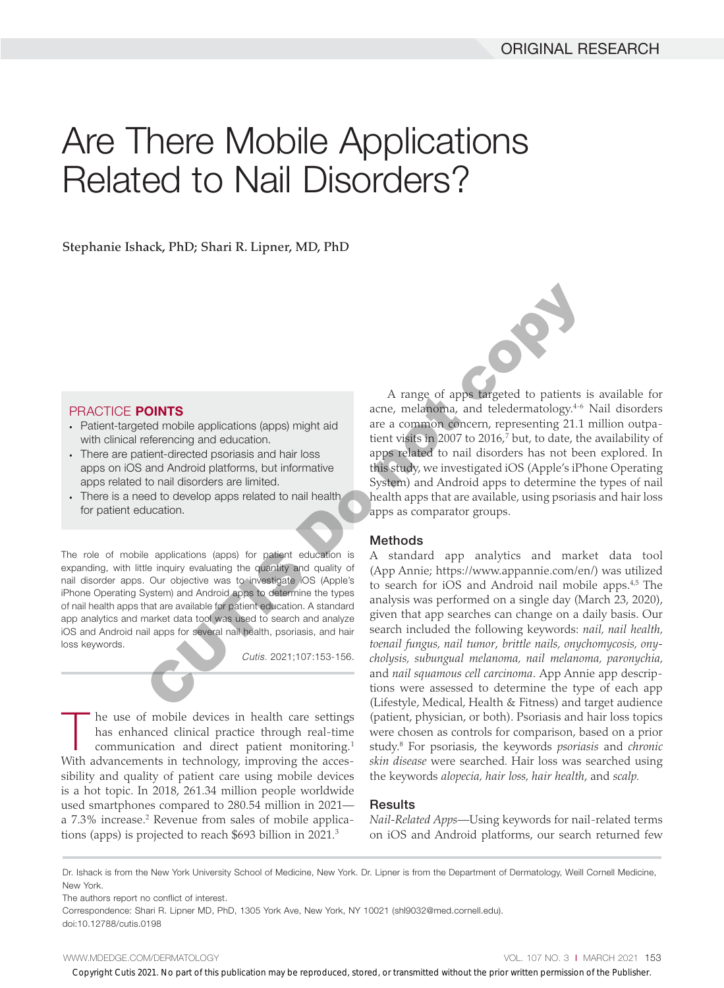# Are There Mobile Applications Related to Nail Disorders?

Stephanie Ishack, PhD; Shari R. Lipner, MD, PhD

## PRACTICE POINTS

- Patient-targeted mobile applications (apps) might aid with clinical referencing and education.
- There are patient-directed psoriasis and hair loss apps on iOS and Android platforms, but informative apps related to nail disorders are limited.
- There is a need to develop apps related to nail health for patient education.

The role of mobile applications (apps) for patient education is expanding, with little inquiry evaluating the quantity and quality of nail disorder apps. Our objective was to investigate iOS (Apple's iPhone Operating System) and Android apps to determine the types of nail health apps that are available for patient education. A standard app analytics and market data tool was used to search and analyze iOS and Android nail apps for several nail health, psoriasis, and hair loss keywords.

*Cutis.* 2021;107:153-156.

he use of mobile devices in health care settings has enhanced clinical practice through real-time communication and direct patient monitoring.<sup>1</sup> With advancements in technology, improving the accessibility and quality of patient care using mobile devices is a hot topic. In 2018, 261.34 million people worldwide used smartphones compared to 280.54 million in 2021 a 7.3% increase.<sup>2</sup> Revenue from sales of mobile applications (apps) is projected to reach \$693 billion in 2021.3

A range of apps targeted to patients is available for acne, melanoma, and teledermatology.<sup>4-6</sup> Nail disorders are a common concern, representing 21.1 million outpatient visits in 2007 to 2016, $7$  but, to date, the availability of apps related to nail disorders has not been explored. In this study, we investigated iOS (Apple's iPhone Operating System) and Android apps to determine the types of nail health apps that are available, using psoriasis and hair loss apps as comparator groups.

## Methods

A standard app analytics and market data tool (App Annie; https://www.appannie.com/en/) was utilized to search for iOS and Android nail mobile apps.<sup>4,5</sup> The analysis was performed on a single day (March 23, 2020), given that app searches can change on a daily basis. Our search included the following keywords: *nail, nail health, toenail fungus, nail tumor*, *brittle nails, onychomycosis, onycholysis, subungual melanoma, nail melanoma, paronychia,*  and *nail squamous cell carcinoma*. App Annie app descriptions were assessed to determine the type of each app (Lifestyle, Medical, Health & Fitness) and target audience (patient, physician, or both). Psoriasis and hair loss topics were chosen as controls for comparison, based on a prior study.8 For psoriasis, the keywords *psoriasis* and *chronic skin disease* were searched*.* Hair loss was searched using the keywords *alopecia, hair loss, hair health*, and *scalp.* CUTIS Do not copy

# **Results**

*Nail-Related Apps*—Using keywords for nail-related terms on iOS and Android platforms, our search returned few

The authors report no conflict of interest.

Copyright Cutis 2021. No part of this publication may be reproduced, stored, or transmitted without the prior written permission of the Publisher.

Dr. Ishack is from the New York University School of Medicine, New York. Dr. Lipner is from the Department of Dermatology, Weill Cornell Medicine, New York.

Correspondence: Shari R. Lipner MD, PhD, 1305 York Ave, New York, NY 10021 (shl9032@med.cornell.edu). doi:10.12788/cutis.0198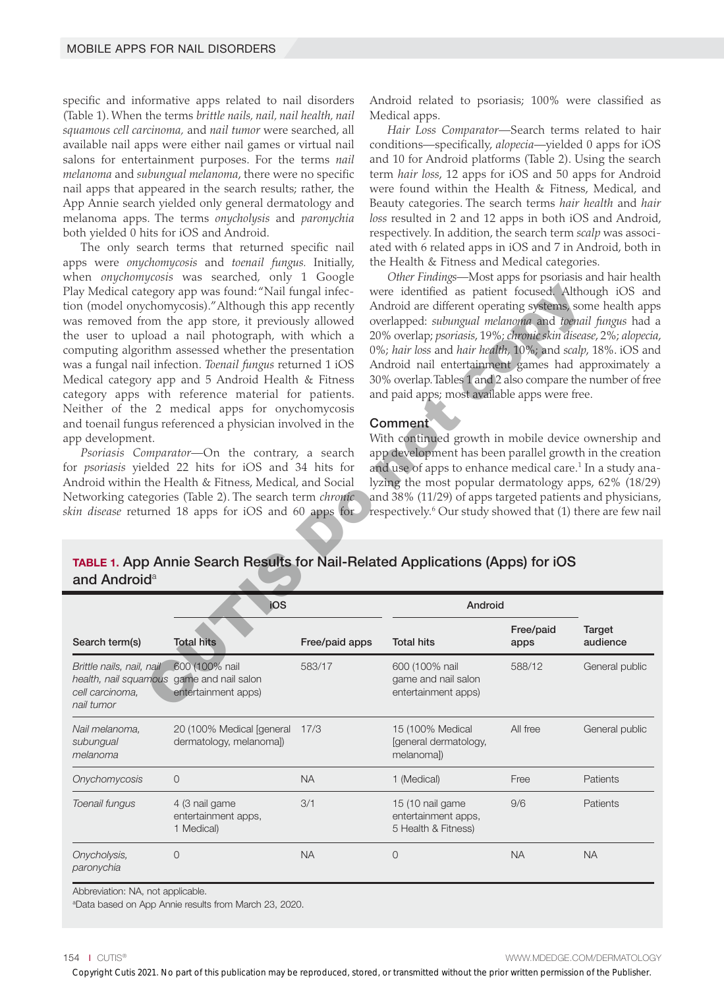specific and informative apps related to nail disorders (Table 1). When the terms *brittle nails, nail, nail health, nail squamous cell carcinoma,* and *nail tumor* were searched, all available nail apps were either nail games or virtual nail salons for entertainment purposes. For the terms *nail melanoma* and *subungual melanoma*, there were no specific nail apps that appeared in the search results; rather, the App Annie search yielded only general dermatology and melanoma apps. The terms *onycholysis* and *paronychia*  both yielded 0 hits for iOS and Android.

The only search terms that returned specific nail apps were *onychomycosis* and *toenail fungus.* Initially, when *onychomycosis* was searched*,* only 1 Google Play Medical category app was found: "Nail fungal infection (model onychomycosis)." Although this app recently was removed from the app store, it previously allowed the user to upload a nail photograph, with which a computing algorithm assessed whether the presentation was a fungal nail infection. *Toenail fungus* returned 1 iOS Medical category app and 5 Android Health & Fitness category apps with reference material for patients. Neither of the 2 medical apps for onychomycosis and toenail fungus referenced a physician involved in the app development.

Android related to psoriasis; 100% were classified as Medical apps.

*Hair Loss Comparator—*Search terms related to hair conditions—specifically, *alopecia*—yielded 0 apps for iOS and 10 for Android platforms (Table 2). Using the search term *hair loss*, 12 apps for iOS and 50 apps for Android were found within the Health & Fitness, Medical, and Beauty categories. The search terms *hair health* and *hair loss* resulted in 2 and 12 apps in both iOS and Android, respectively. In addition, the search term *scalp* was associated with 6 related apps in iOS and 7 in Android, both in the Health & Fitness and Medical categories.

*Other Findings—*Most apps for psoriasis and hair health were identified as patient focused. Although iOS and Android are different operating systems, some health apps overlapped: *subungual melanoma* and *toenail fungus* had a 20% overlap; *psoriasis*, 19%; *chronic skin disease*, 2%; *alopecia*, 0%; *hair loss* and *hair health*, 10%; and *scalp*, 18%. iOS and Android nail entertainment games had approximately a 30% overlap. Tables 1 and 2 also compare the number of free and paid apps; most available apps were free.

#### Comment

TABLE 1. App Annie Search Results for Nail-Related Applications (Apps) for iOS and Android<sup>a</sup>

| upp development.                                                                                                             | Play Medical category app was found: "Nail fungal infec-<br>ion (model onychomycosis)." Although this app recently<br>vas removed from the app store, it previously allowed<br>he user to upload a nail photograph, with which a<br>computing algorithm assessed whether the presentation<br>vas a fungal nail infection. Toenail fungus returned 1 iOS<br>Medical category app and 5 Android Health & Fitness<br>ategory apps with reference material for patients.<br>Neither of the 2 medical apps for onychomycosis<br>and toenail fungus referenced a physician involved in the<br>Psoriasis Comparator-On the contrary, a search<br>or <i>psoriasis</i> yielded 22 hits for iOS and 34 hits for<br>Android within the Health & Fitness, Medical, and Social<br>Vetworking categories (Table 2). The search term <i>chronic</i><br>kin disease returned 18 apps for iOS and 60 apps for |                | were identified as patient focused. Although iOS and<br>Android are different operating systems, some health apps<br>overlapped: subungual melanoma and toenail fungus had a<br>20% overlap; psoriasis, 19%; chronic skin disease, 2%; alopecia<br>0%; hair loss and hair health, 10%; and scalp, 18%. iOS and<br>Android nail entertainment games had approximately a<br>30% overlap. Tables 1 and 2 also compare the number of free<br>and paid apps; most available apps were free.<br>Comment<br>With continued growth in mobile device ownership and<br>app development has been parallel growth in the creatior<br>and use of apps to enhance medical care. <sup>1</sup> In a study ana-<br>lyzing the most popular dermatology apps, 62% (18/29)<br>and 38% (11/29) of apps targeted patients and physicians<br>respectively. <sup>6</sup> Our study showed that (1) there are few nai |                   |                           |  |
|------------------------------------------------------------------------------------------------------------------------------|----------------------------------------------------------------------------------------------------------------------------------------------------------------------------------------------------------------------------------------------------------------------------------------------------------------------------------------------------------------------------------------------------------------------------------------------------------------------------------------------------------------------------------------------------------------------------------------------------------------------------------------------------------------------------------------------------------------------------------------------------------------------------------------------------------------------------------------------------------------------------------------------|----------------|-----------------------------------------------------------------------------------------------------------------------------------------------------------------------------------------------------------------------------------------------------------------------------------------------------------------------------------------------------------------------------------------------------------------------------------------------------------------------------------------------------------------------------------------------------------------------------------------------------------------------------------------------------------------------------------------------------------------------------------------------------------------------------------------------------------------------------------------------------------------------------------------------|-------------------|---------------------------|--|
| TABLE 1. App Annie Search Results for Nail-Related Applications (Apps) for iOS<br>and Android <sup>a</sup><br>iOS<br>Android |                                                                                                                                                                                                                                                                                                                                                                                                                                                                                                                                                                                                                                                                                                                                                                                                                                                                                              |                |                                                                                                                                                                                                                                                                                                                                                                                                                                                                                                                                                                                                                                                                                                                                                                                                                                                                                               |                   |                           |  |
| Search term(s)                                                                                                               | <b>Total hits</b>                                                                                                                                                                                                                                                                                                                                                                                                                                                                                                                                                                                                                                                                                                                                                                                                                                                                            | Free/paid apps | <b>Total hits</b>                                                                                                                                                                                                                                                                                                                                                                                                                                                                                                                                                                                                                                                                                                                                                                                                                                                                             | Free/paid<br>apps | <b>Target</b><br>audience |  |
| Brittle nails, nail, nail<br>health, nail squamous game and nail salon<br>cell carcinoma,<br>nail tumor                      | 600 (100% nail<br>entertainment apps)                                                                                                                                                                                                                                                                                                                                                                                                                                                                                                                                                                                                                                                                                                                                                                                                                                                        | 583/17         | 600 (100% nail<br>game and nail salon<br>entertainment apps)                                                                                                                                                                                                                                                                                                                                                                                                                                                                                                                                                                                                                                                                                                                                                                                                                                  | 588/12            | General public            |  |
| Nail melanoma,<br>subungual<br>melanoma                                                                                      | 20 (100% Medical [general 17/3<br>dermatology, melanomal)                                                                                                                                                                                                                                                                                                                                                                                                                                                                                                                                                                                                                                                                                                                                                                                                                                    |                | 15 (100% Medical<br>[general dermatology,<br>melanoma])                                                                                                                                                                                                                                                                                                                                                                                                                                                                                                                                                                                                                                                                                                                                                                                                                                       | All free          | General public            |  |
| Onychomycosis                                                                                                                | $\mathbf 0$                                                                                                                                                                                                                                                                                                                                                                                                                                                                                                                                                                                                                                                                                                                                                                                                                                                                                  | <b>NA</b>      | 1 (Medical)                                                                                                                                                                                                                                                                                                                                                                                                                                                                                                                                                                                                                                                                                                                                                                                                                                                                                   | Free              | Patients                  |  |
| Toenail fungus                                                                                                               | 4 (3 nail game<br>entertainment apps,<br>1 Medical)                                                                                                                                                                                                                                                                                                                                                                                                                                                                                                                                                                                                                                                                                                                                                                                                                                          | 3/1            | 15 (10 nail game<br>entertainment apps,<br>5 Health & Fitness)                                                                                                                                                                                                                                                                                                                                                                                                                                                                                                                                                                                                                                                                                                                                                                                                                                | 9/6               | Patients                  |  |
| Onycholysis,<br>paronychia                                                                                                   | $\mathbf 0$                                                                                                                                                                                                                                                                                                                                                                                                                                                                                                                                                                                                                                                                                                                                                                                                                                                                                  | <b>NA</b>      | $\mathbf 0$                                                                                                                                                                                                                                                                                                                                                                                                                                                                                                                                                                                                                                                                                                                                                                                                                                                                                   | <b>NA</b>         | <b>NA</b>                 |  |
| Abbreviation: NA, not applicable.                                                                                            |                                                                                                                                                                                                                                                                                                                                                                                                                                                                                                                                                                                                                                                                                                                                                                                                                                                                                              |                |                                                                                                                                                                                                                                                                                                                                                                                                                                                                                                                                                                                                                                                                                                                                                                                                                                                                                               |                   |                           |  |

a Data based on App Annie results from March 23, 2020.

154 I CUTIS® WWW.MDEDGE.COM/DERMATOLOGY

Copyright Cutis 2021. No part of this publication may be reproduced, stored, or transmitted without the prior written permission of the Publisher.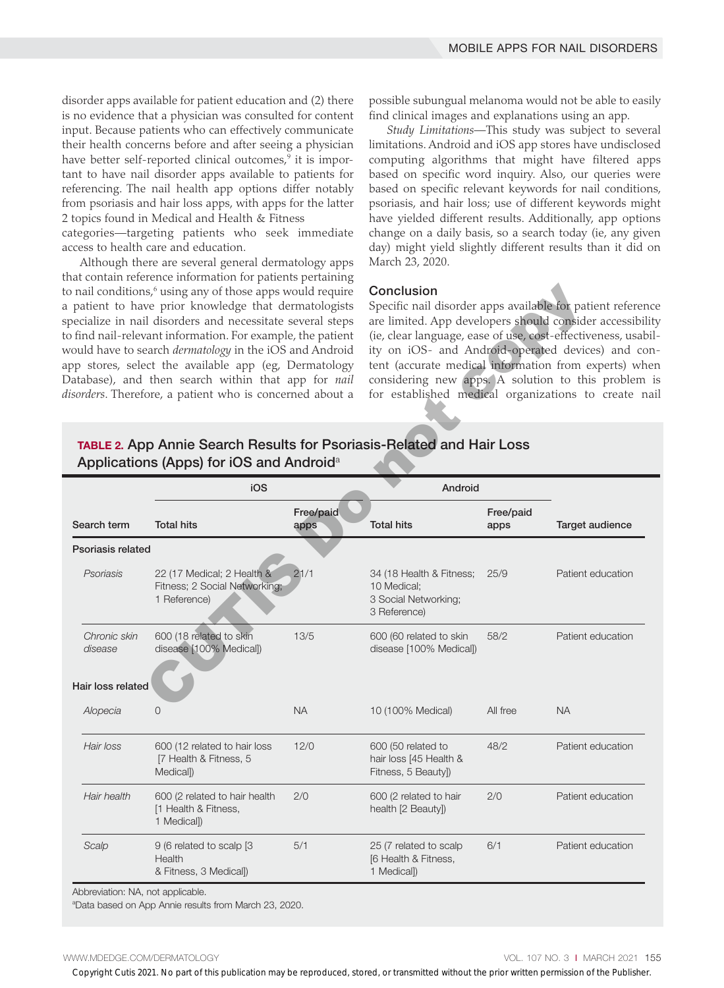disorder apps available for patient education and (2) there is no evidence that a physician was consulted for content input. Because patients who can effectively communicate their health concerns before and after seeing a physician have better self-reported clinical outcomes,<sup>9</sup> it is important to have nail disorder apps available to patients for referencing. The nail health app options differ notably from psoriasis and hair loss apps, with apps for the latter 2 topics found in Medical and Health & Fitness

categories—targeting patients who seek immediate access to health care and education.

Although there are several general dermatology apps that contain reference information for patients pertaining to nail conditions,<sup>6</sup> using any of those apps would require a patient to have prior knowledge that dermatologists specialize in nail disorders and necessitate several steps to find nail-relevant information. For example, the patient would have to search *dermatology* in the iOS and Android app stores, select the available app (eg, Dermatology Database), and then search within that app for *nail disorders*. Therefore, a patient who is concerned about a

possible subungual melanoma would not be able to easily find clinical images and explanations using an app.

*Study Limitations*—This study was subject to several limitations. Android and iOS app stores have undisclosed computing algorithms that might have filtered apps based on specific word inquiry. Also, our queries were based on specific relevant keywords for nail conditions, psoriasis, and hair loss; use of different keywords might have yielded different results. Additionally, app options change on a daily basis, so a search today (ie, any given day) might yield slightly different results than it did on March 23, 2020.

#### Conclusion

# TABLE 2. App Annie Search Results for Psoriasis-Related and Hair Loss Applications (Apps) for iOS and Android<sup>a</sup>

|                                                                                                                                             | o nail conditions, <sup>6</sup> using any of those apps would require<br>patient to have prior knowledge that dermatologists<br>pecialize in nail disorders and necessitate several steps<br>o find nail-relevant information. For example, the patient<br>vould have to search <i>dermatology</i> in the iOS and Android<br>pp stores, select the available app (eg, Dermatology<br>Database), and then search within that app for nail<br>isorders. Therefore, a patient who is concerned about a |                   | Conclusion<br>Specific nail disorder apps available for patient referenc<br>are limited. App developers should consider accessibilit<br>(ie, clear language, ease of use, cost-effectiveness, usabil<br>ity on iOS- and Android-operated devices) and cor<br>tent (accurate medical information from experts) whe<br>considering new apps. A solution to this problem<br>for established medical organizations to create na |                   |                   |  |
|---------------------------------------------------------------------------------------------------------------------------------------------|-----------------------------------------------------------------------------------------------------------------------------------------------------------------------------------------------------------------------------------------------------------------------------------------------------------------------------------------------------------------------------------------------------------------------------------------------------------------------------------------------------|-------------------|-----------------------------------------------------------------------------------------------------------------------------------------------------------------------------------------------------------------------------------------------------------------------------------------------------------------------------------------------------------------------------------------------------------------------------|-------------------|-------------------|--|
| <b>TABLE 2. App Annie Search Results for Psoriasis-Related and Hair Loss</b><br>Applications (Apps) for iOS and Android <sup>a</sup><br>iOS |                                                                                                                                                                                                                                                                                                                                                                                                                                                                                                     |                   | Android                                                                                                                                                                                                                                                                                                                                                                                                                     |                   |                   |  |
| Search term                                                                                                                                 | <b>Total hits</b>                                                                                                                                                                                                                                                                                                                                                                                                                                                                                   | Free/paid<br>apps | <b>Total hits</b>                                                                                                                                                                                                                                                                                                                                                                                                           | Free/paid<br>apps | Target audience   |  |
| Psoriasis related                                                                                                                           |                                                                                                                                                                                                                                                                                                                                                                                                                                                                                                     |                   |                                                                                                                                                                                                                                                                                                                                                                                                                             |                   |                   |  |
| Psoriasis                                                                                                                                   | 22 (17 Medical; 2 Health &<br>Fitness; 2 Social Networking;<br>1 Reference)                                                                                                                                                                                                                                                                                                                                                                                                                         | 21/1              | 34 (18 Health & Fitness;<br>10 Medical;<br>3 Social Networking;<br>3 Reference)                                                                                                                                                                                                                                                                                                                                             | 25/9              | Patient education |  |
| Chronic skin<br>disease                                                                                                                     | 600 (18 related to skin<br>disease [100% Medical])                                                                                                                                                                                                                                                                                                                                                                                                                                                  | 13/5              | 600 (60 related to skin<br>disease [100% Medical])                                                                                                                                                                                                                                                                                                                                                                          | 58/2              | Patient education |  |
| Hair loss related                                                                                                                           |                                                                                                                                                                                                                                                                                                                                                                                                                                                                                                     |                   |                                                                                                                                                                                                                                                                                                                                                                                                                             |                   |                   |  |
| Alopecia                                                                                                                                    | 0                                                                                                                                                                                                                                                                                                                                                                                                                                                                                                   | <b>NA</b>         | 10 (100% Medical)                                                                                                                                                                                                                                                                                                                                                                                                           | All free          | <b>NA</b>         |  |
| Hair loss                                                                                                                                   | 600 (12 related to hair loss<br>[7 Health & Fitness, 5<br>Medical)                                                                                                                                                                                                                                                                                                                                                                                                                                  | 12/0              | 600 (50 related to<br>hair loss [45 Health &<br>Fitness, 5 Beauty])                                                                                                                                                                                                                                                                                                                                                         | 48/2              | Patient education |  |
| Hair health                                                                                                                                 | 600 (2 related to hair health<br>[1 Health & Fitness,<br>1 Medical)                                                                                                                                                                                                                                                                                                                                                                                                                                 | 2/0               | 600 (2 related to hair<br>health [2 Beauty])                                                                                                                                                                                                                                                                                                                                                                                | 2/0               | Patient education |  |
| Scalp                                                                                                                                       | 9 (6 related to scalp [3]<br>Health<br>& Fitness, 3 Medical])                                                                                                                                                                                                                                                                                                                                                                                                                                       | 5/1               | 25 (7 related to scalp<br>[6 Health & Fitness,<br>1 Medical])                                                                                                                                                                                                                                                                                                                                                               | 6/1               | Patient education |  |

a Data based on App Annie results from March 23, 2020.

WWW.MDEDGE.COM/DERMATOLOGY **VOL. 107 NO. 3 I MARCH 2021 155** 

Copyright Cutis 2021. No part of this publication may be reproduced, stored, or transmitted without the prior written permission of the Publisher.